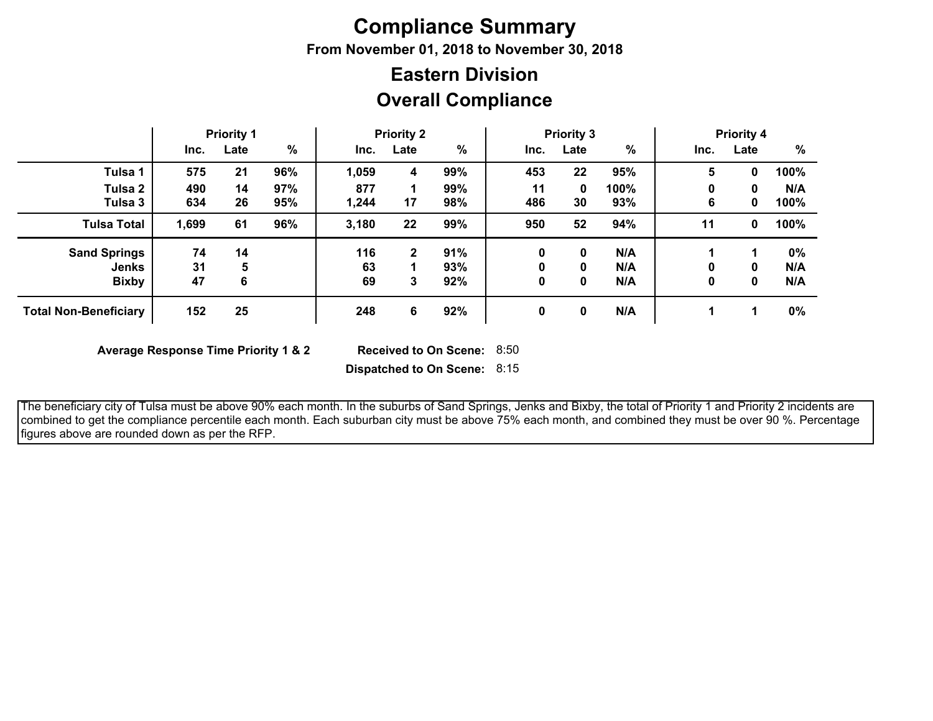## **Compliance Summary**

**From November 01, 2018 to November 30, 2018**

## **Overall Compliance Eastern Division**

|                              | <b>Priority 1</b> |      |               | <b>Priority 2</b> |              | <b>Priority 3</b> |      |      | <b>Priority 4</b> |      |      |       |
|------------------------------|-------------------|------|---------------|-------------------|--------------|-------------------|------|------|-------------------|------|------|-------|
|                              | Inc.              | Late | $\frac{0}{0}$ | Inc.              | Late         | %                 | Inc. | Late | %                 | Inc. | Late | %     |
| Tulsa 1                      | 575               | 21   | 96%           | 1,059             | 4            | 99%               | 453  | 22   | 95%               | 5    | 0    | 100%  |
| Tulsa 2                      | 490               | 14   | 97%           | 877               |              | 99%               | 11   | 0    | 100%              | 0    | 0    | N/A   |
| Tulsa 3                      | 634               | 26   | 95%           | 1,244             | 17           | 98%               | 486  | 30   | 93%               | 6    | 0    | 100%  |
| <b>Tulsa Total</b>           | 1,699             | 61   | 96%           | 3,180             | 22           | 99%               | 950  | 52   | 94%               | 11   | 0    | 100%  |
| <b>Sand Springs</b>          | 74                | 14   |               | 116               | $\mathbf{2}$ | 91%               | 0    | 0    | N/A               |      |      | $0\%$ |
| <b>Jenks</b>                 | 31                | 5    |               | 63                |              | 93%               | 0    | 0    | N/A               | 0    | 0    | N/A   |
| <b>Bixby</b>                 | 47                | 6    |               | 69                | 3            | 92%               | 0    | 0    | N/A               | 0    | 0    | N/A   |
| <b>Total Non-Beneficiary</b> | 152               | 25   |               | 248               | 6            | 92%               | 0    | 0    | N/A               |      |      | 0%    |

**Average Response Time Priority 1 & 2** 

Received to On Scene: 8:50

**Dispatched to On Scene:** 8:15

 The beneficiary city of Tulsa must be above 90% each month. In the suburbs of Sand Springs, Jenks and Bixby, the total of Priority 1 and Priority 2 incidents are combined to get the compliance percentile each month. Each suburban city must be above 75% each month, and combined they must be over 90 %. Percentage figures above are rounded down as per the RFP.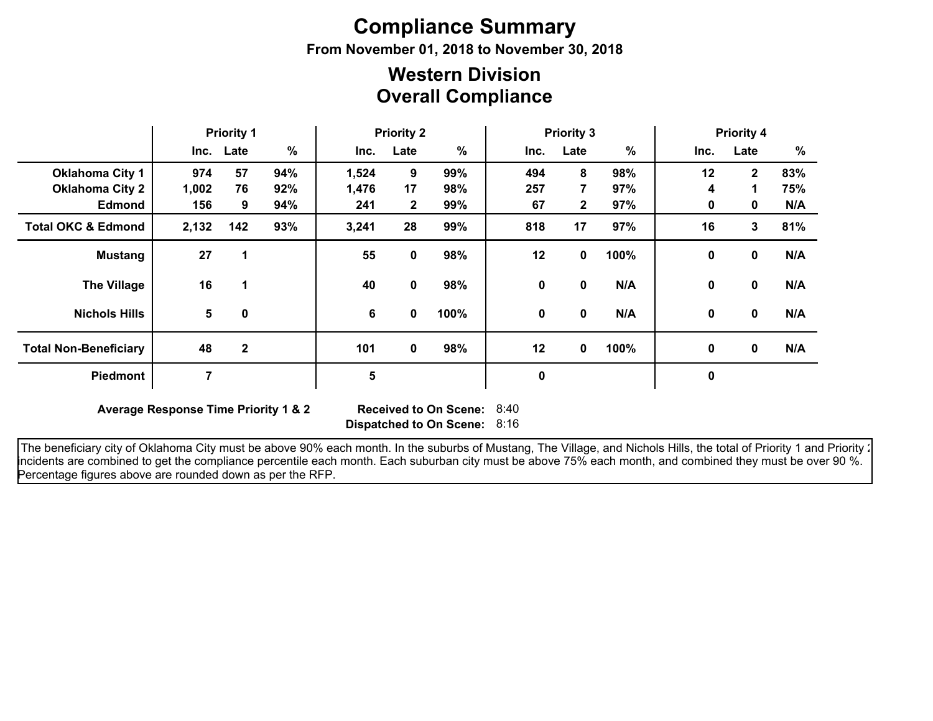# **Compliance Summary**

**From November 01, 2018 to November 30, 2018**

## **Overall Compliance Western Division**

|                               | <b>Priority 1</b> |              | <b>Priority 2</b> |       |              | <b>Priority 3</b> |      |                |               | <b>Priority 4</b><br>%<br>Late<br>12<br>$\overline{2}$<br>83%<br>75%<br>4<br>1<br>N/A<br>0<br>$\mathbf 0$<br>81%<br>16<br>3<br>$\mathbf 0$<br>N/A<br>$\mathbf 0$ |              |     |
|-------------------------------|-------------------|--------------|-------------------|-------|--------------|-------------------|------|----------------|---------------|------------------------------------------------------------------------------------------------------------------------------------------------------------------|--------------|-----|
|                               |                   | Inc. Late    | %                 | Inc.  | Late         | %                 | Inc. | Late           | $\frac{9}{6}$ | Inc.                                                                                                                                                             |              |     |
| <b>Oklahoma City 1</b>        | 974               | 57           | 94%               | 1,524 | 9            | 99%               | 494  | 8              | 98%           |                                                                                                                                                                  |              |     |
| <b>Oklahoma City 2</b>        | 1,002             | 76           | 92%               | 1,476 | 17           | 98%               | 257  | $\overline{7}$ | 97%           |                                                                                                                                                                  |              |     |
| <b>Edmond</b>                 | 156               | 9            | 94%               | 241   | $\mathbf{2}$ | 99%               | 67   | $\mathbf{2}$   | 97%           |                                                                                                                                                                  |              |     |
| <b>Total OKC &amp; Edmond</b> | 2,132             | 142          | 93%               | 3,241 | 28           | 99%               | 818  | 17             | 97%           |                                                                                                                                                                  |              |     |
| <b>Mustang</b>                | 27                | 1            |                   | 55    | 0            | 98%               | 12   | 0              | 100%          |                                                                                                                                                                  |              |     |
| <b>The Village</b>            | 16                |              |                   | 40    | 0            | 98%               | 0    | $\mathbf 0$    | N/A           | $\mathbf{0}$                                                                                                                                                     | 0            | N/A |
| <b>Nichols Hills</b>          | 5                 | 0            |                   | 6     | 0            | 100%              | 0    | 0              | N/A           | $\mathbf{0}$                                                                                                                                                     | $\mathbf{0}$ | N/A |
| <b>Total Non-Beneficiary</b>  | 48                | $\mathbf{2}$ |                   | 101   | 0            | 98%               | 12   | $\mathbf{0}$   | 100%          | $\mathbf{0}$                                                                                                                                                     | $\mathbf 0$  | N/A |
| Piedmont                      | 7                 |              |                   | 5     |              |                   | 0    |                |               | 0                                                                                                                                                                |              |     |

**Average Response Time Priority 1 & 2** 

**Dispatched to On Scene:** 8:16 Received to On Scene: 8:40

The beneficiary city of Oklahoma City must be above 90% each month. In the suburbs of Mustang, The Village, and Nichols Hills, the total of Priority 1 and Priority : incidents are combined to get the compliance percentile each month. Each suburban city must be above 75% each month, and combined they must be over 90 %. Percentage figures above are rounded down as per the RFP.